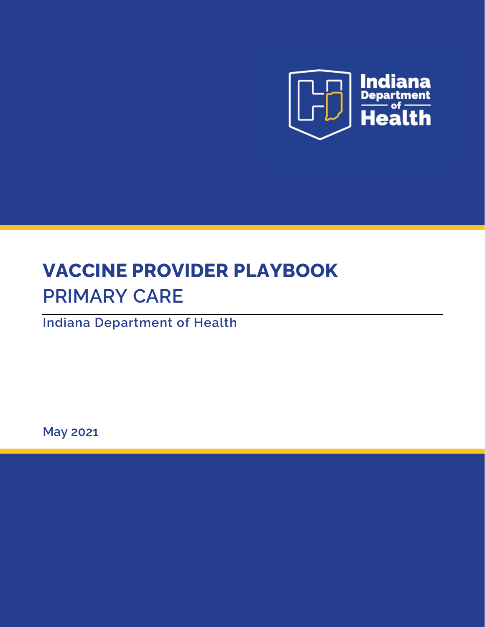

# **VACCINE PROVIDER PLAYBOOK PRIMARY CARE**

**Indiana Department of Health** 

**May 2021**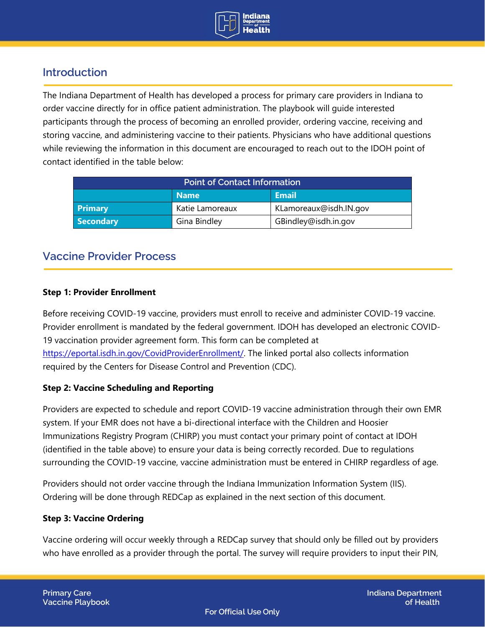

# **Introduction**

The Indiana Department of Health has developed a process for primary care providers in Indiana to order vaccine directly for in office patient administration. The playbook will guide interested participants through the process of becoming an enrolled provider, ordering vaccine, receiving and storing vaccine, and administering vaccine to their patients. Physicians who have additional questions while reviewing the information in this document are encouraged to reach out to the IDOH point of contact identified in the table below:

| <b>Point of Contact Information</b> |                 |                        |  |  |
|-------------------------------------|-----------------|------------------------|--|--|
|                                     | <b>Name</b>     | <b>Email</b>           |  |  |
| <b>Primary</b>                      | Katie Lamoreaux | KLamoreaux@isdh.IN.gov |  |  |
| <b>Secondary</b>                    | Gina Bindley    | GBindley@isdh.in.gov   |  |  |

## **Vaccine Provider Process**

## **Step 1: Provider Enrollment**

Before receiving COVID-19 vaccine, providers must enroll to receive and administer COVID-19 vaccine. Provider enrollment is mandated by the federal government. IDOH has developed an electronic COVID-19 vaccination provider agreement form. This form can be completed at [https://eportal.isdh.in.gov/CovidProviderEnrollment/.](https://eportal.isdh.in.gov/CovidProviderEnrollment/) The linked portal also collects information required by the Centers for Disease Control and Prevention (CDC).

## **Step 2: Vaccine Scheduling and Reporting**

Providers are expected to schedule and report COVID-19 vaccine administration through their own EMR system. If your EMR does not have a bi-directional interface with the Children and Hoosier Immunizations Registry Program (CHIRP) you must contact your primary point of contact at IDOH (identified in the table above) to ensure your data is being correctly recorded. Due to regulations surrounding the COVID-19 vaccine, vaccine administration must be entered in CHIRP regardless of age.

Providers should not order vaccine through the Indiana Immunization Information System (IIS). Ordering will be done through REDCap as explained in the next section of this document.

## **Step 3: Vaccine Ordering**

Vaccine ordering will occur weekly through a REDCap survey that should only be filled out by providers who have enrolled as a provider through the portal. The survey will require providers to input their PIN,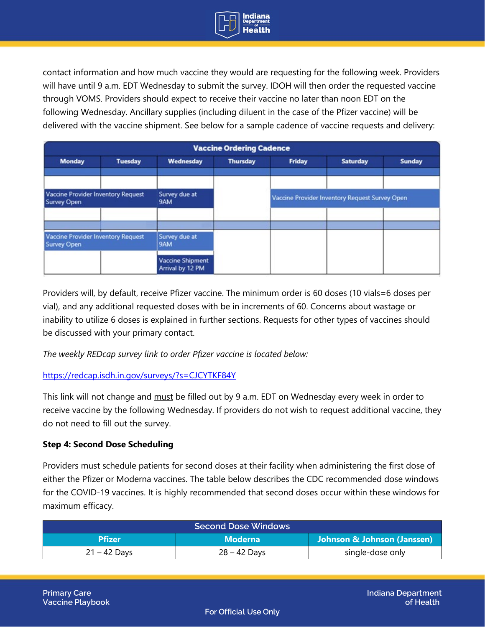

contact information and how much vaccine they would are requesting for the following week. Providers will have until 9 a.m. EDT Wednesday to submit the survey. IDOH will then order the requested vaccine through VOMS. Providers should expect to receive their vaccine no later than noon EDT on the following Wednesday. Ancillary supplies (including diluent in the case of the Pfizer vaccine) will be delivered with the vaccine shipment. See below for a sample cadence of vaccine requests and delivery:

| <b>Vaccine Ordering Cadence</b>                                 |                |                                             |                 |                                                |                 |               |
|-----------------------------------------------------------------|----------------|---------------------------------------------|-----------------|------------------------------------------------|-----------------|---------------|
| <b>Monday</b>                                                   | <b>Tuesday</b> | Wednesday                                   | <b>Thursday</b> | <b>Friday</b>                                  | <b>Saturday</b> | <b>Sunday</b> |
| Vaccine Provider Inventory Request<br><b>Survey Open</b>        |                | Survey due at<br>9AM                        |                 | Vaccine Provider Inventory Request Survey Open |                 |               |
|                                                                 |                |                                             |                 |                                                |                 |               |
| <b>Vaccine Provider Inventory Request</b><br><b>Survey Open</b> |                | Survey due at<br>9AM                        |                 |                                                |                 |               |
|                                                                 |                | <b>Vaccine Shipment</b><br>Arrival by 12 PM |                 |                                                |                 |               |

Providers will, by default, receive Pfizer vaccine. The minimum order is 60 doses (10 vials=6 doses per vial), and any additional requested doses with be in increments of 60. Concerns about wastage or inability to utilize 6 doses is explained in further sections. Requests for other types of vaccines should be discussed with your primary contact.

*The weekly REDcap survey link to order Pfizer vaccine is located below:* 

<https://redcap.isdh.in.gov/surveys/?s=CJCYTKF84Y>

This link will not change and must be filled out by 9 a.m. EDT on Wednesday every week in order to receive vaccine by the following Wednesday. If providers do not wish to request additional vaccine, they do not need to fill out the survey.

## **Step 4: Second Dose Scheduling**

Providers must schedule patients for second doses at their facility when administering the first dose of either the Pfizer or Moderna vaccines. The table below describes the CDC recommended dose windows for the COVID-19 vaccines. It is highly recommended that second doses occur within these windows for maximum efficacy.

| <b>Second Dose Windows</b> |                |                             |  |  |
|----------------------------|----------------|-----------------------------|--|--|
| <b>Pfizer</b>              | <b>Moderna</b> | Johnson & Johnson (Janssen) |  |  |
| $21 - 42$ Days             | $28 - 42$ Days | single-dose only            |  |  |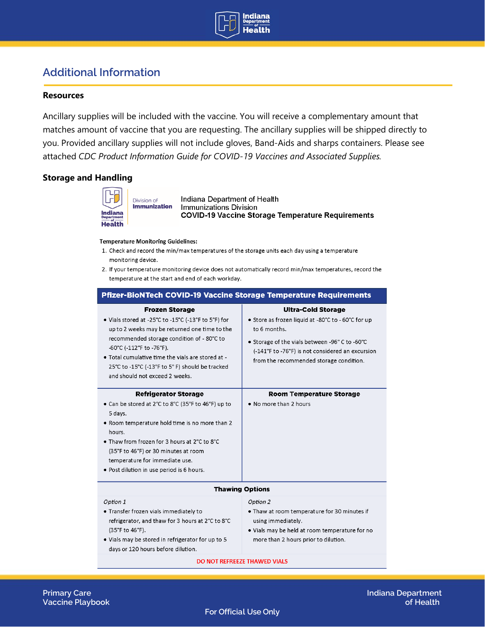

# **Additional Information**

#### **Resources**

Ancillary supplies will be included with the vaccine. You will receive a complementary amount that matches amount of vaccine that you are requesting. The ancillary supplies will be shipped directly to you. Provided ancillary supplies will not include gloves, Band-Aids and sharps containers. Please see attached *CDC Product Information Guide for COVID-19 Vaccines and Associated Supplies.*

#### **Storage and Handling**



Indiana Department of Health **Immunizations Division COVID-19 Vaccine Storage Temperature Requirements** 

#### **Temperature Monitoring Guidelines:**

- 1. Check and record the min/max temperatures of the storage units each day using a temperature monitoring device.
- 2. If your temperature monitoring device does not automatically record min/max temperatures, record the temperature at the start and end of each workday.

| <b>Pfizer-BioNTech COVID-19 Vaccine Storage Temperature Requirements</b>                                                                                                                                                                                                                                                                         |                                                                                                                                                                                                                                                 |  |  |  |  |
|--------------------------------------------------------------------------------------------------------------------------------------------------------------------------------------------------------------------------------------------------------------------------------------------------------------------------------------------------|-------------------------------------------------------------------------------------------------------------------------------------------------------------------------------------------------------------------------------------------------|--|--|--|--|
| <b>Frozen Storage</b><br>. Vials stored at -25°C to -15°C (-13°F to 5°F) for<br>up to 2 weeks may be returned one time to the<br>recommended storage condition of - 80°C to<br>-60°C (-112°F to -76°F).<br>. Total cumulative time the vials are stored at -<br>25°C to -15°C (-13°F to 5°F) should be tracked<br>and should not exceed 2 weeks. | <b>Ultra-Cold Storage</b><br>• Store as frozen liquid at -80°C to - 60°C for up<br>to 6 months.<br>• Storage of the vials between -96°C to -60°C<br>(-141°F to -76°F) is not considered an excursion<br>from the recommended storage condition. |  |  |  |  |
| <b>Refrigerator Storage</b><br>• Can be stored at 2°C to 8°C (35°F to 46°F) up to<br>5 days.<br>• Room temperature hold time is no more than 2<br>hours.<br>• Thaw from frozen for 3 hours at 2°C to 8°C<br>(35°F to 46°F) or 30 minutes at room<br>temperature for immediate use.<br>. Post dilution in use period is 6 hours.                  | <b>Room Temperature Storage</b><br>• No more than 2 hours                                                                                                                                                                                       |  |  |  |  |
| <b>Thawing Options</b>                                                                                                                                                                                                                                                                                                                           |                                                                                                                                                                                                                                                 |  |  |  |  |
| Option 1<br>. Transfer frozen vials immediately to<br>refrigerator, and thaw for 3 hours at 2°C to 8°C<br>(35°F to 46°F).<br>. Vials may be stored in refrigerator for up to 5<br>days or 120 hours before dilution.                                                                                                                             | Option 2<br>. Thaw at room temperature for 30 minutes if<br>using immediately.<br>. Vials may be held at room temperature for no<br>more than 2 hours prior to dilution.                                                                        |  |  |  |  |
| DO NOT REFREEZE THAWED VIALS                                                                                                                                                                                                                                                                                                                     |                                                                                                                                                                                                                                                 |  |  |  |  |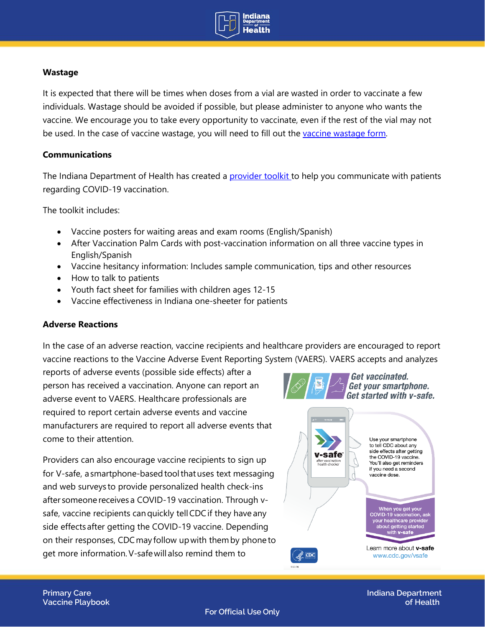

## **Wastage**

It is expected that there will be times when doses from a vial are wasted in order to vaccinate a few individuals. Wastage should be avoided if possible, but please administer to anyone who wants the vaccine. We encourage you to take every opportunity to vaccinate, even if the rest of the vial may not be used. In the case of vaccine wastage, you will need to fill out the [vaccine wastage form.](https://www.in.gov/isdh/files/covid-19%20vaccine%20wastage%20form%20jan2021.pdf)

## **Communications**

The Indiana Department of Health has created a **[provider toolkit t](https://www.coronavirus.in.gov/vaccine/2701.htm)o help you communicate with patients** regarding COVID-19 vaccination.

The toolkit includes:

- Vaccine posters for waiting areas and exam rooms (English/Spanish)
- After Vaccination Palm Cards with post-vaccination information on all three vaccine types in English/Spanish
- Vaccine hesitancy information: Includes sample communication, tips and other resources
- How to talk to patients
- Youth fact sheet for families with children ages 12-15
- Vaccine effectiveness in Indiana one-sheeter for patients

### **Adverse Reactions**

In the case of an adverse reaction, vaccine recipients and healthcare providers are encouraged to report vaccine reactions to the Vaccine Adverse Event Reporting System (VAERS). VAERS accepts and analyzes

reports of adverse events (possible side effects) after a person has received a vaccination. Anyone can report an adverse event to VAERS. Healthcare professionals are required to report certain adverse events and vaccine manufacturers are required to report all adverse events that come to their attention.

Providers can also encourage vaccine recipients to sign up for V-safe, a smartphone-based tool that uses text messaging and web surveys to provide personalized health check-ins after someone receives a COVID-19 vaccination. Through vsafe, vaccine recipients can quickly tell CDC if they have any side effects after getting the COVID-19 vaccine. Depending on their responses, CDC may follow up with them by phone to get more information. V-safe will also remind them to



**For Official Use Only**